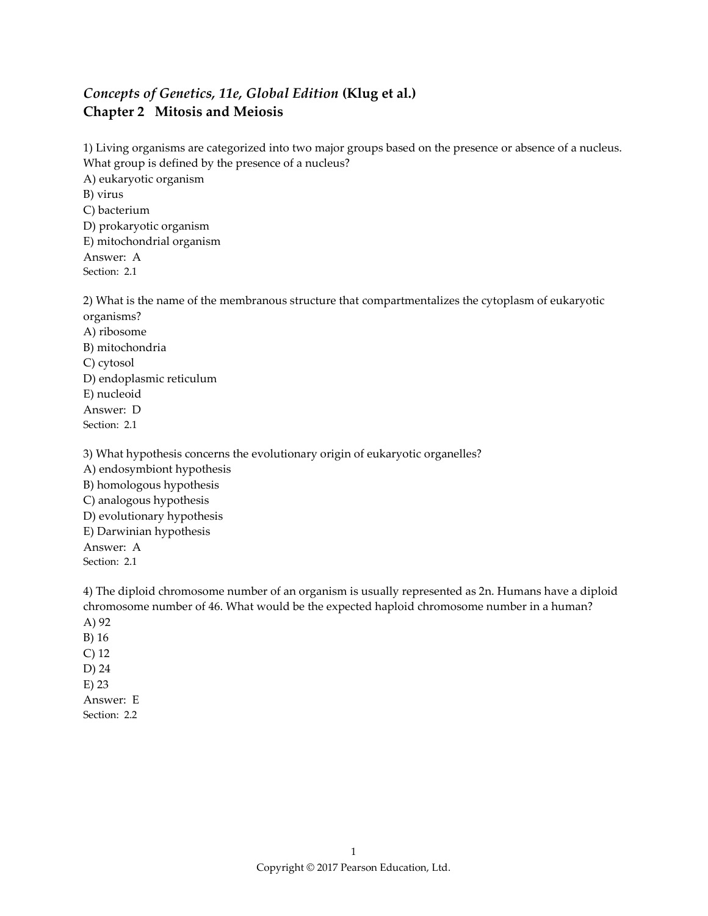## *Concepts of Genetics, 11e, Global Edition* **(Klug et al.) Chapter 2 Mitosis and Meiosis**

1) Living organisms are categorized into two major groups based on the presence or absence of a nucleus. What group is defined by the presence of a nucleus? A) eukaryotic organism B) virus C) bacterium D) prokaryotic organism E) mitochondrial organism Answer: A Section: 2.1

2) What is the name of the membranous structure that compartmentalizes the cytoplasm of eukaryotic organisms? A) ribosome B) mitochondria C) cytosol D) endoplasmic reticulum E) nucleoid Answer: D Section: 2.1

3) What hypothesis concerns the evolutionary origin of eukaryotic organelles? A) endosymbiont hypothesis B) homologous hypothesis C) analogous hypothesis D) evolutionary hypothesis E) Darwinian hypothesis Answer: A Section: 2.1

4) The diploid chromosome number of an organism is usually represented as 2n. Humans have a diploid chromosome number of 46. What would be the expected haploid chromosome number in a human? A) 92 B) 16 C) 12 D) 24 E) 23 Answer: E Section: 2.2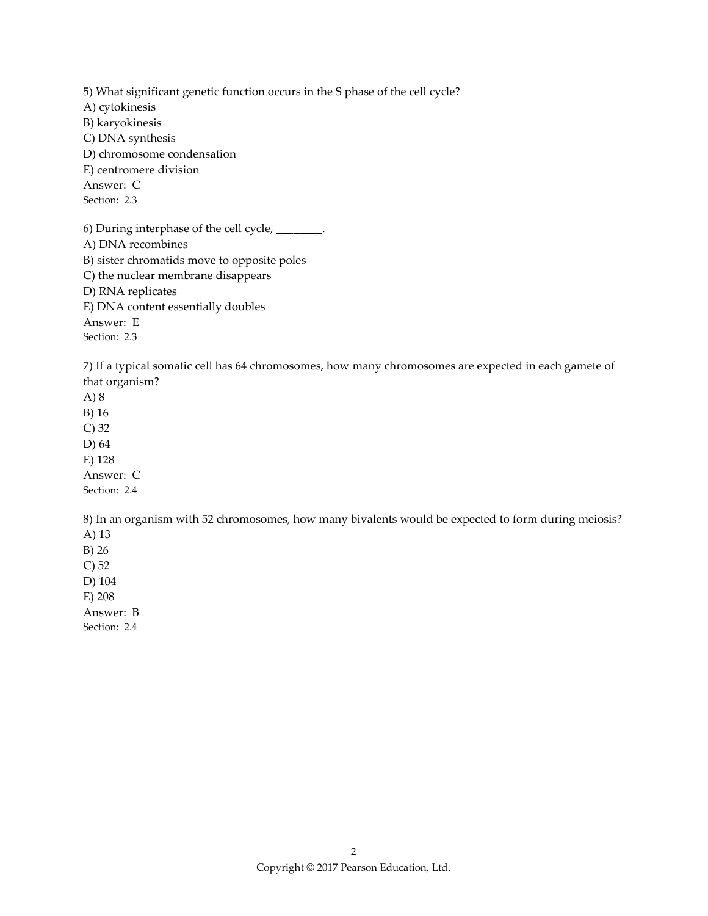5) What significant genetic function occurs in the S phase of the cell cycle? A) cytokinesis B) karyokinesis C) DNA synthesis D) chromosome condensation E) centromere division Answer: C Section: 2.3 6) During interphase of the cell cycle,  $\_\_$ A) DNA recombines B) sister chromatids move to opposite poles C) the nuclear membrane disappears D) RNA replicates

E) DNA content essentially doubles

Answer: E

Section: 2.3

7) If a typical somatic cell has 64 chromosomes, how many chromosomes are expected in each gamete of that organism?

A) 8 B) 16 C) 32 D) 64 E) 128 Answer: C Section: 2.4

8) In an organism with 52 chromosomes, how many bivalents would be expected to form during meiosis? A) 13 B) 26

C) 52

D) 104

E) 208

Answer: B

Section: 2.4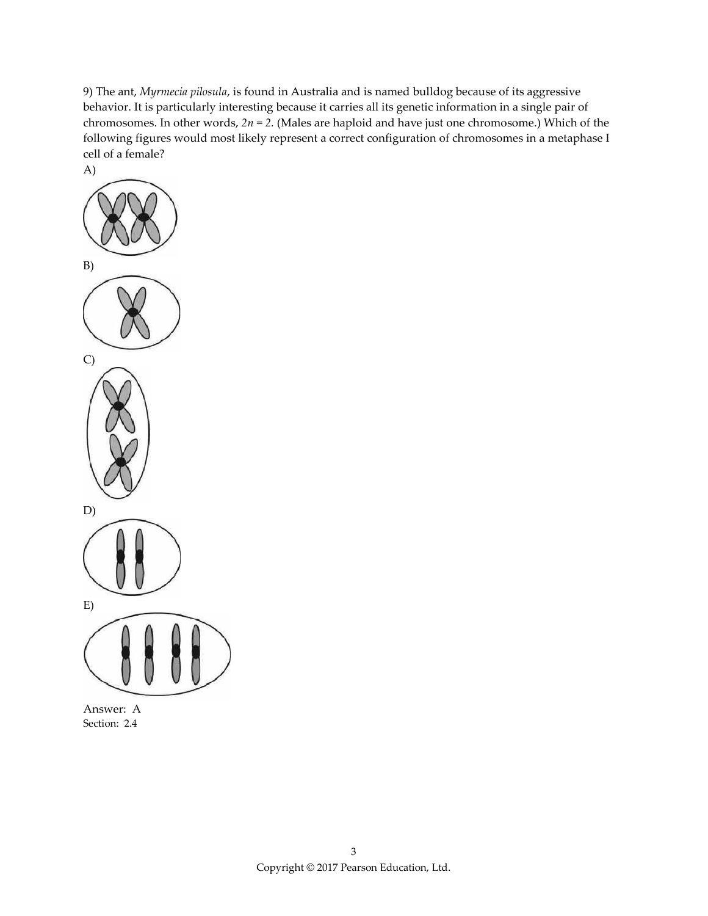9) The ant, *Myrmecia pilosula*, is found in Australia and is named bulldog because of its aggressive behavior. It is particularly interesting because it carries all its genetic information in a single pair of chromosomes. In other words, *2n = 2.* (Males are haploid and have just one chromosome.) Which of the following figures would most likely represent a correct configuration of chromosomes in a metaphase I cell of a female?



Answer: A Section: 2.4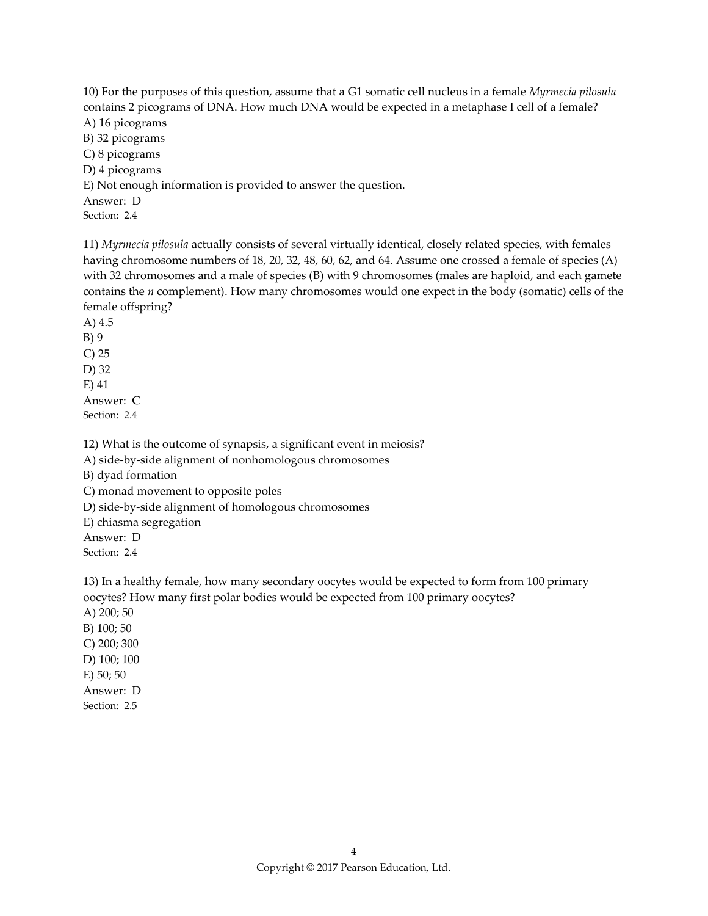10) For the purposes of this question, assume that a G1 somatic cell nucleus in a female *Myrmecia pilosula* contains 2 picograms of DNA. How much DNA would be expected in a metaphase I cell of a female? A) 16 picograms B) 32 picograms C) 8 picograms D) 4 picograms E) Not enough information is provided to answer the question. Answer: D Section: 2.4

11) *Myrmecia pilosula* actually consists of several virtually identical, closely related species, with females having chromosome numbers of 18, 20, 32, 48, 60, 62, and 64. Assume one crossed a female of species (A) with 32 chromosomes and a male of species (B) with 9 chromosomes (males are haploid, and each gamete contains the *n* complement). How many chromosomes would one expect in the body (somatic) cells of the female offspring?

A) 4.5 B) 9 C) 25 D) 32 E) 41 Answer: C Section: 2.4

12) What is the outcome of synapsis, a significant event in meiosis?

A) side-by-side alignment of nonhomologous chromosomes

B) dyad formation

C) monad movement to opposite poles

D) side-by-side alignment of homologous chromosomes

E) chiasma segregation

Answer: D

Section: 2.4

13) In a healthy female, how many secondary oocytes would be expected to form from 100 primary oocytes? How many first polar bodies would be expected from 100 primary oocytes?

A) 200; 50 B) 100; 50 C) 200; 300 D) 100; 100 E) 50; 50 Answer: D Section: 2.5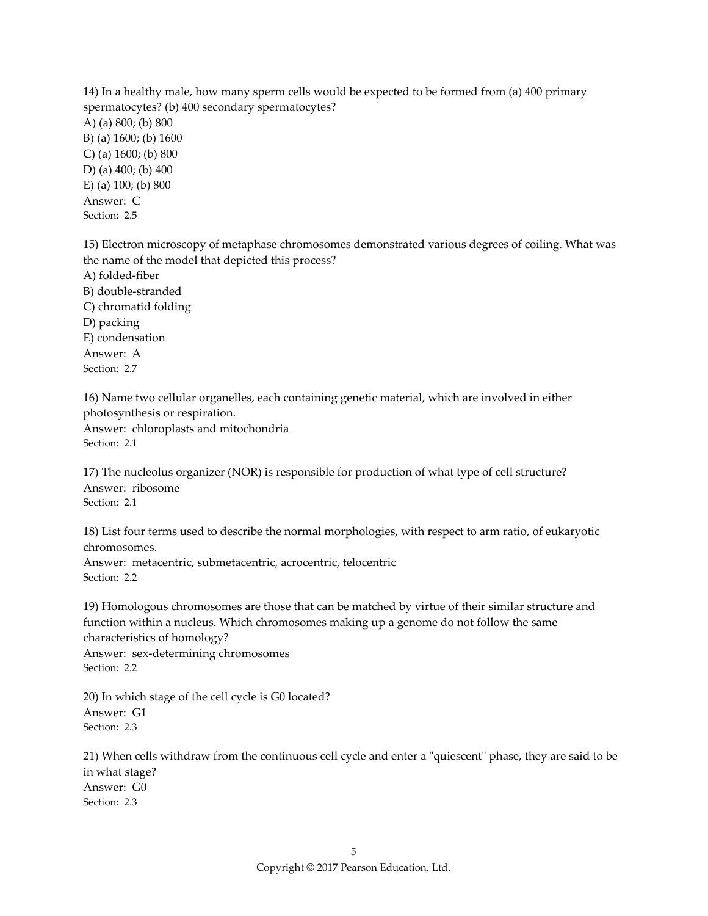14) In a healthy male, how many sperm cells would be expected to be formed from (a) 400 primary spermatocytes? (b) 400 secondary spermatocytes? A) (a) 800; (b) 800 B) (a) 1600; (b) 1600 C) (a) 1600; (b) 800 D) (a) 400; (b) 400 E) (a) 100; (b) 800 Answer: C Section: 2.5

15) Electron microscopy of metaphase chromosomes demonstrated various degrees of coiling. What was the name of the model that depicted this process? A) folded-fiber B) double-stranded C) chromatid folding D) packing E) condensation Answer: A Section: 2.7

16) Name two cellular organelles, each containing genetic material, which are involved in either photosynthesis or respiration. Answer: chloroplasts and mitochondria

Section: 2.1

17) The nucleolus organizer (NOR) is responsible for production of what type of cell structure? Answer: ribosome Section: 2.1

18) List four terms used to describe the normal morphologies, with respect to arm ratio, of eukaryotic chromosomes.

Answer: metacentric, submetacentric, acrocentric, telocentric Section: 2.2

19) Homologous chromosomes are those that can be matched by virtue of their similar structure and function within a nucleus. Which chromosomes making up a genome do not follow the same characteristics of homology?

Answer: sex-determining chromosomes Section: 2.2

20) In which stage of the cell cycle is G0 located? Answer: G1 Section: 2.3

21) When cells withdraw from the continuous cell cycle and enter a "quiescent" phase, they are said to be in what stage? Answer: G0 Section: 2.3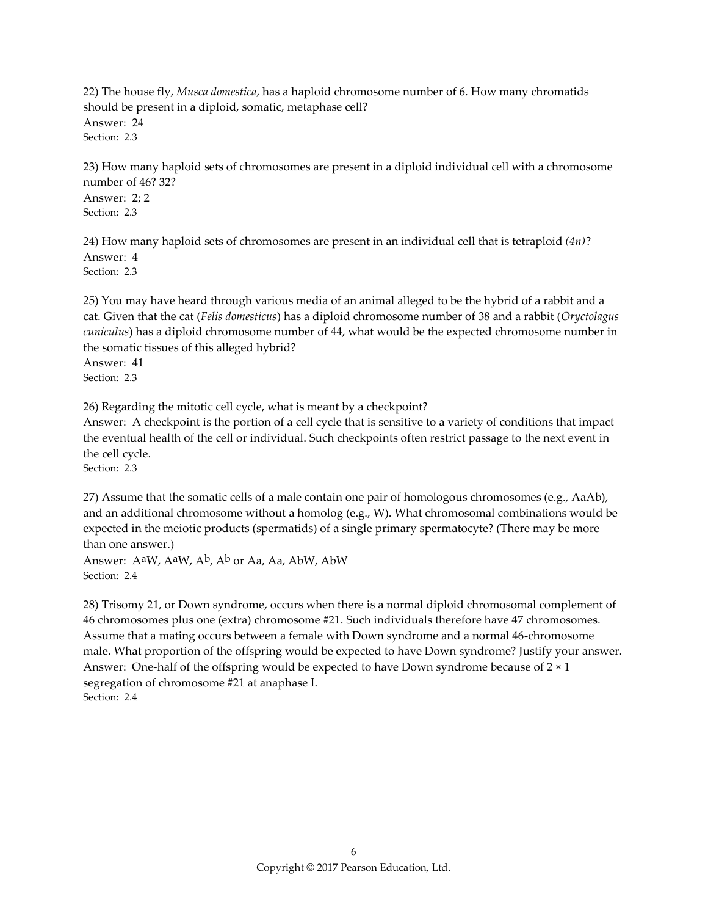22) The house fly, *Musca domestica*, has a haploid chromosome number of 6. How many chromatids should be present in a diploid, somatic, metaphase cell? Answer: 24 Section: 2.3

23) How many haploid sets of chromosomes are present in a diploid individual cell with a chromosome number of 46? 32? Answer: 2; 2 Section: 2.3

24) How many haploid sets of chromosomes are present in an individual cell that is tetraploid *(4n)*? Answer: 4 Section: 2.3

25) You may have heard through various media of an animal alleged to be the hybrid of a rabbit and a cat. Given that the cat (*Felis domesticus*) has a diploid chromosome number of 38 and a rabbit (*Oryctolagus cuniculus*) has a diploid chromosome number of 44, what would be the expected chromosome number in the somatic tissues of this alleged hybrid? Answer: 41

Section: 2.3

26) Regarding the mitotic cell cycle, what is meant by a checkpoint?

Answer: A checkpoint is the portion of a cell cycle that is sensitive to a variety of conditions that impact the eventual health of the cell or individual. Such checkpoints often restrict passage to the next event in the cell cycle.

Section: 2.3

27) Assume that the somatic cells of a male contain one pair of homologous chromosomes (e.g., AaAb), and an additional chromosome without a homolog (e.g.,  $W$ ). What chromosomal combinations would be expected in the meiotic products (spermatids) of a single primary spermatocyte? (There may be more than one answer.)

Answer: AaW, AaW, Ab, Ab or Aa, Aa, AbW, AbW Section: 2.4

28) Trisomy 21, or Down syndrome, occurs when there is a normal diploid chromosomal complement of 46 chromosomes plus one (extra) chromosome #21. Such individuals therefore have 47 chromosomes. Assume that a mating occurs between a female with Down syndrome and a normal 46-chromosome male. What proportion of the offspring would be expected to have Down syndrome? Justify your answer. Answer: One-half of the offspring would be expected to have Down syndrome because of  $2 \times 1$ segregation of chromosome #21 at anaphase I. Section: 2.4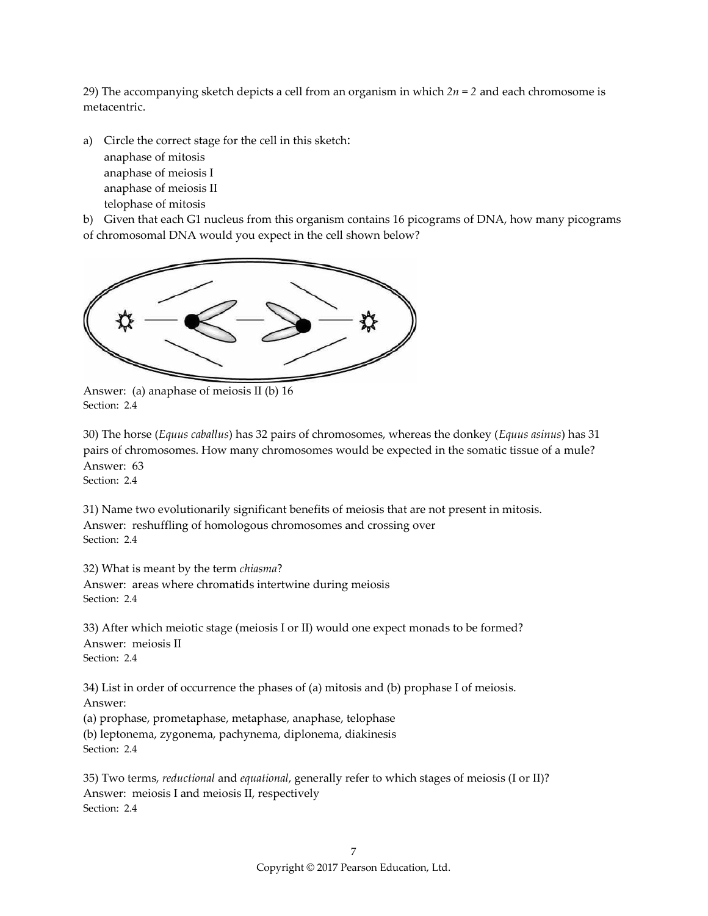29) The accompanying sketch depicts a cell from an organism in which *2n = 2* and each chromosome is metacentric.

a) Circle the correct stage for the cell in this sketch: anaphase of mitosis anaphase of meiosis I anaphase of meiosis II telophase of mitosis

b) Given that each G1 nucleus from this organism contains 16 picograms of DNA, how many picograms of chromosomal DNA would you expect in the cell shown below?



Answer: (a) anaphase of meiosis II (b) 16 Section: 2.4

30) The horse (*Equus caballus*) has 32 pairs of chromosomes, whereas the donkey (*Equus asinus*) has 31 pairs of chromosomes. How many chromosomes would be expected in the somatic tissue of a mule? Answer: 63

Section: 2.4

31) Name two evolutionarily significant benefits of meiosis that are not present in mitosis. Answer: reshuffling of homologous chromosomes and crossing over Section: 2.4

32) What is meant by the term *chiasma*?

Answer: areas where chromatids intertwine during meiosis Section: 2.4

33) After which meiotic stage (meiosis I or II) would one expect monads to be formed? Answer: meiosis II Section: 2.4

34) List in order of occurrence the phases of (a) mitosis and (b) prophase I of meiosis. Answer:

(a) prophase, prometaphase, metaphase, anaphase, telophase (b) leptonema, zygonema, pachynema, diplonema, diakinesis Section: 2.4

35) Two terms, *reductional* and *equational*, generally refer to which stages of meiosis (I or II)? Answer: meiosis I and meiosis II, respectively Section: 2.4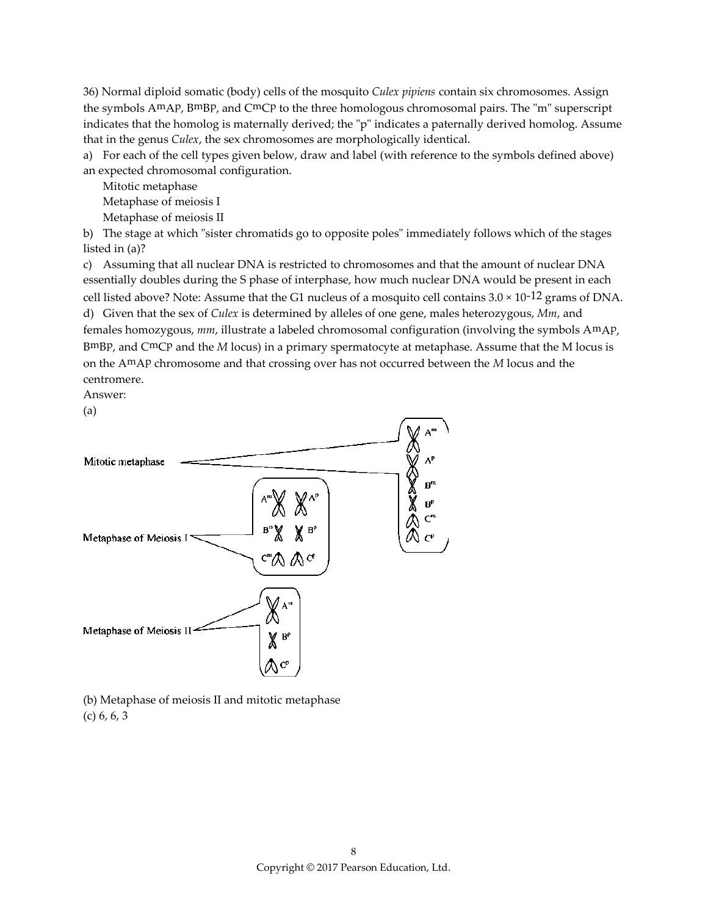36) Normal diploid somatic (body) cells of the mosquito *Culex pipiens* contain six chromosomes. Assign the symbols AmAp, BmBp, and CmCp to the three homologous chromosomal pairs. The "m" superscript indicates that the homolog is maternally derived; the "p" indicates a paternally derived homolog. Assume that in the genus *Culex*, the sex chromosomes are morphologically identical.

a) For each of the cell types given below, draw and label (with reference to the symbols defined above) an expected chromosomal configuration.

Mitotic metaphase Metaphase of meiosis I Metaphase of meiosis II

b) The stage at which "sister chromatids go to opposite poles" immediately follows which of the stages listed in (a)?

c) Assuming that all nuclear DNA is restricted to chromosomes and that the amount of nuclear DNA essentially doubles during the S phase of interphase, how much nuclear DNA would be present in each cell listed above? Note: Assume that the G1 nucleus of a mosquito cell contains  $3.0 \times 10^{-12}$  grams of DNA. d) Given that the sex of *Culex* is determined by alleles of one gene, males heterozygous, *Mm*, and females homozygous, *mm*, illustrate a labeled chromosomal configuration (involving the symbols AmAp, BmBp, and CmCp and the *M* locus) in a primary spermatocyte at metaphase. Assume that the M locus is on the AmAp chromosome and that crossing over has not occurred between the *M* locus and the centromere.





(b) Metaphase of meiosis II and mitotic metaphase (c) 6, 6, 3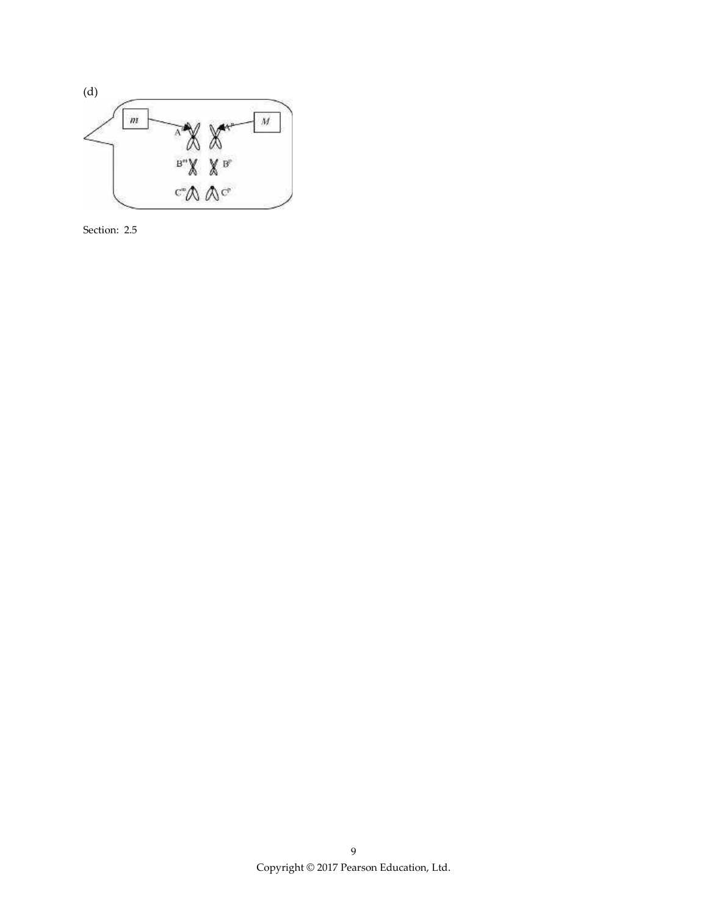

Section: 2.5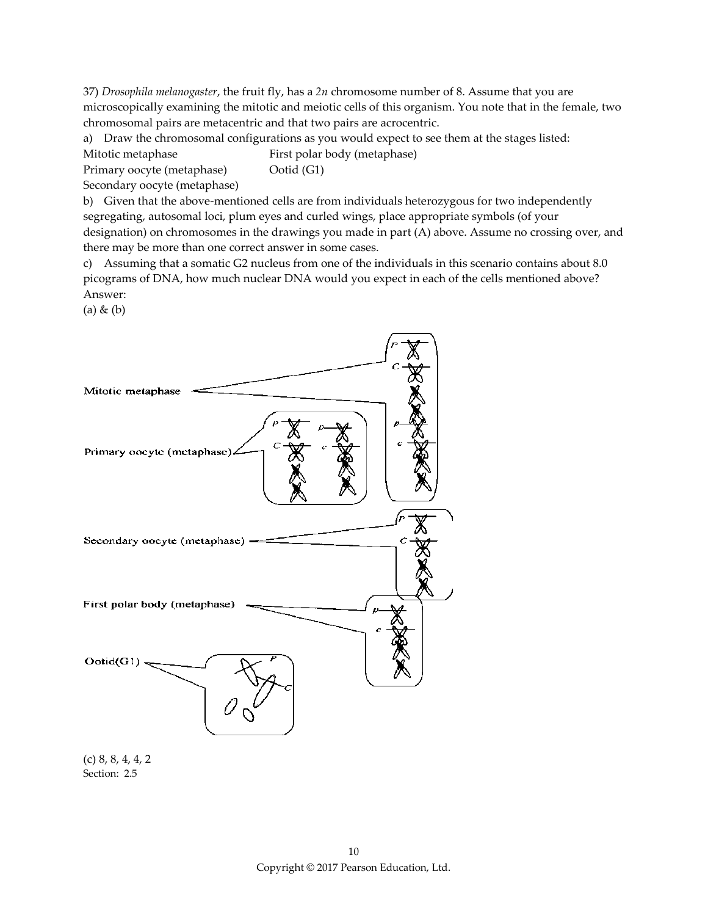37) *Drosophila melanogaster*, the fruit fly, has a *2n* chromosome number of 8. Assume that you are microscopically examining the mitotic and meiotic cells of this organism. You note that in the female, two chromosomal pairs are metacentric and that two pairs are acrocentric.

a) Draw the chromosomal configurations as you would expect to see them at the stages listed:

Mitotic metaphase First polar body (metaphase)

Primary oocyte (metaphase) Ootid (G1)

Secondary oocyte (metaphase)

b) Given that the above-mentioned cells are from individuals heterozygous for two independently segregating, autosomal loci, plum eyes and curled wings, place appropriate symbols (of your designation) on chromosomes in the drawings you made in part (A) above. Assume no crossing over, and there may be more than one correct answer in some cases.

c) Assuming that a somatic G2 nucleus from one of the individuals in this scenario contains about 8.0 picograms of DNA, how much nuclear DNA would you expect in each of the cells mentioned above? Answer:

(a) & (b)



Section: 2.5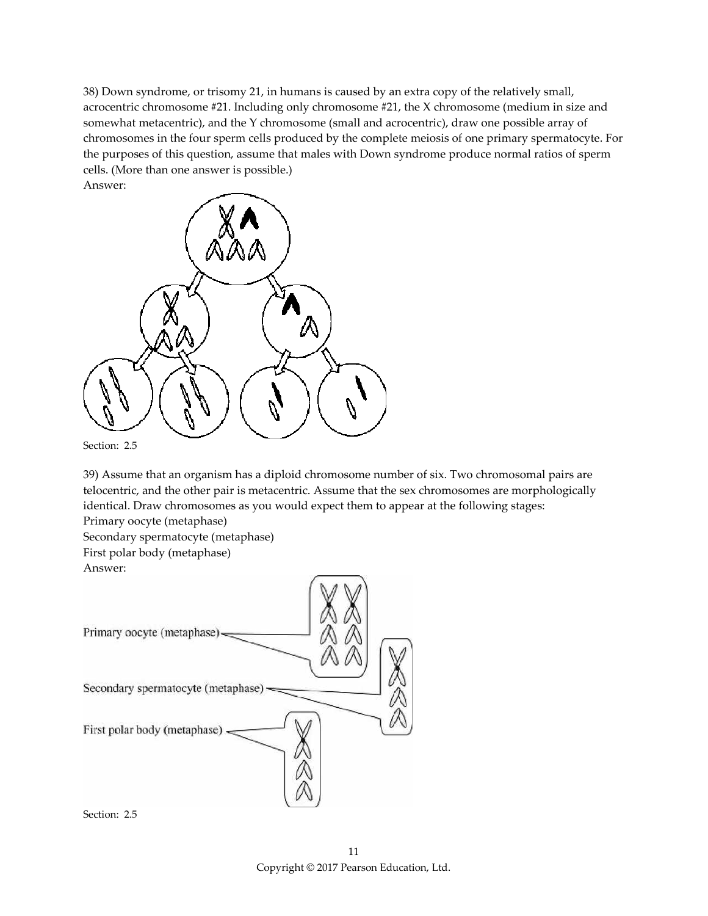38) Down syndrome, or trisomy 21, in humans is caused by an extra copy of the relatively small, acrocentric chromosome #21. Including only chromosome #21, the X chromosome (medium in size and somewhat metacentric), and the Y chromosome (small and acrocentric), draw one possible array of chromosomes in the four sperm cells produced by the complete meiosis of one primary spermatocyte. For the purposes of this question, assume that males with Down syndrome produce normal ratios of sperm cells. (More than one answer is possible.) Answer:



Section: 2.5

39) Assume that an organism has a diploid chromosome number of six. Two chromosomal pairs are telocentric, and the other pair is metacentric. Assume that the sex chromosomes are morphologically identical. Draw chromosomes as you would expect them to appear at the following stages:

Primary oocyte (metaphase)

Secondary spermatocyte (metaphase) First polar body (metaphase) Answer:



Section: 2.5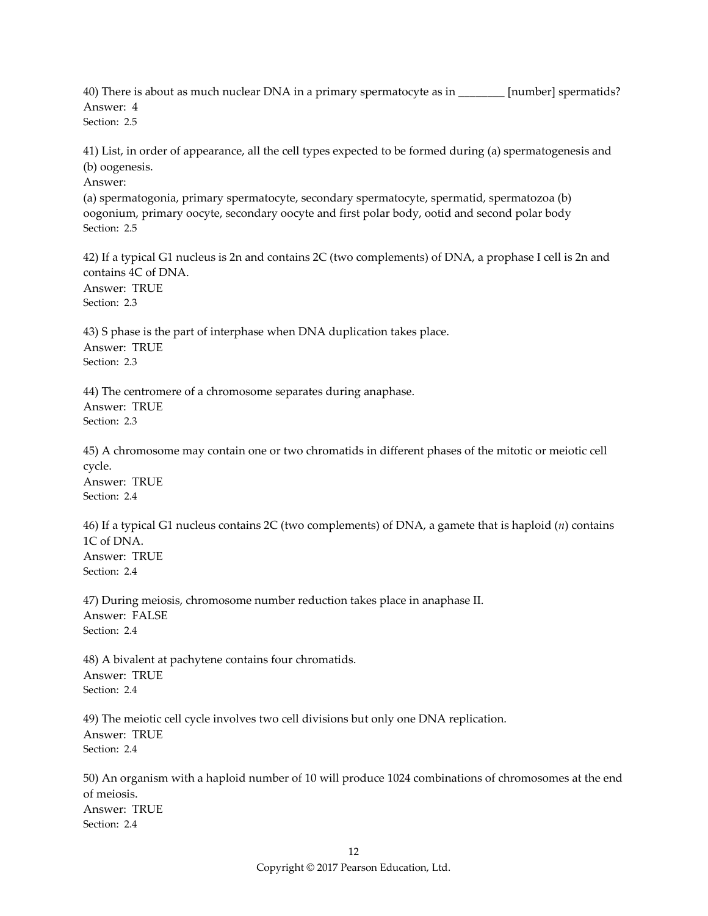40) There is about as much nuclear DNA in a primary spermatocyte as in \_\_\_\_\_\_\_\_ [number] spermatids? Answer: 4 Section: 2.5

41) List, in order of appearance, all the cell types expected to be formed during (a) spermatogenesis and (b) oogenesis.

Answer:

(a) spermatogonia, primary spermatocyte, secondary spermatocyte, spermatid, spermatozoa (b) oogonium, primary oocyte, secondary oocyte and first polar body, ootid and second polar body Section: 2.5

42) If a typical G1 nucleus is 2n and contains 2C (two complements) of DNA, a prophase I cell is 2n and contains 4C of DNA. Answer: TRUE Section: 2.3

43) S phase is the part of interphase when DNA duplication takes place. Answer: TRUE Section: 2.3

44) The centromere of a chromosome separates during anaphase. Answer: TRUE Section: 2.3

45) A chromosome may contain one or two chromatids in different phases of the mitotic or meiotic cell cycle.

Answer: TRUE Section: 2.4

46) If a typical G1 nucleus contains 2C (two complements) of DNA, a gamete that is haploid (*n*) contains 1C of DNA. Answer: TRUE Section: 2.4

47) During meiosis, chromosome number reduction takes place in anaphase II. Answer: FALSE Section: 2.4

48) A bivalent at pachytene contains four chromatids. Answer: TRUE Section: 2.4

49) The meiotic cell cycle involves two cell divisions but only one DNA replication. Answer: TRUE Section: 2.4

50) An organism with a haploid number of 10 will produce 1024 combinations of chromosomes at the end of meiosis. Answer: TRUE Section: 2.4